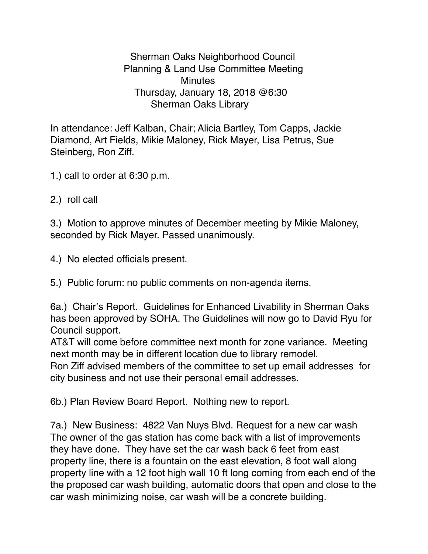Sherman Oaks Neighborhood Council Planning & Land Use Committee Meeting **Minutes**  Thursday, January 18, 2018 @6:30 Sherman Oaks Library

In attendance: Jeff Kalban, Chair; Alicia Bartley, Tom Capps, Jackie Diamond, Art Fields, Mikie Maloney, Rick Mayer, Lisa Petrus, Sue Steinberg, Ron Ziff.

1.) call to order at 6:30 p.m.

2.) roll call

3.) Motion to approve minutes of December meeting by Mikie Maloney, seconded by Rick Mayer. Passed unanimously.

4.) No elected officials present.

5.) Public forum: no public comments on non-agenda items.

6a.) Chair's Report. Guidelines for Enhanced Livability in Sherman Oaks has been approved by SOHA. The Guidelines will now go to David Ryu for Council support.

AT&T will come before committee next month for zone variance. Meeting next month may be in different location due to library remodel.

Ron Ziff advised members of the committee to set up email addresses for city business and not use their personal email addresses.

6b.) Plan Review Board Report. Nothing new to report.

7a.) New Business: 4822 Van Nuys Blvd. Request for a new car wash The owner of the gas station has come back with a list of improvements they have done. They have set the car wash back 6 feet from east property line, there is a fountain on the east elevation, 8 foot wall along property line with a 12 foot high wall 10 ft long coming from each end of the the proposed car wash building, automatic doors that open and close to the car wash minimizing noise, car wash will be a concrete building.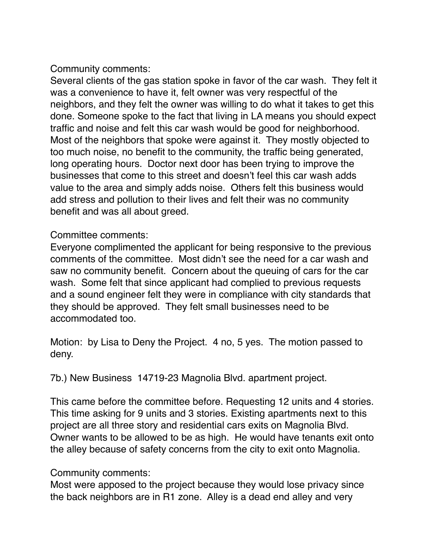Community comments:

Several clients of the gas station spoke in favor of the car wash. They felt it was a convenience to have it, felt owner was very respectful of the neighbors, and they felt the owner was willing to do what it takes to get this done. Someone spoke to the fact that living in LA means you should expect traffic and noise and felt this car wash would be good for neighborhood. Most of the neighbors that spoke were against it. They mostly objected to too much noise, no benefit to the community, the traffic being generated, long operating hours. Doctor next door has been trying to improve the businesses that come to this street and doesn't feel this car wash adds value to the area and simply adds noise. Others felt this business would add stress and pollution to their lives and felt their was no community benefit and was all about greed.

Committee comments:

Everyone complimented the applicant for being responsive to the previous comments of the committee. Most didn't see the need for a car wash and saw no community benefit. Concern about the queuing of cars for the car wash. Some felt that since applicant had complied to previous requests and a sound engineer felt they were in compliance with city standards that they should be approved. They felt small businesses need to be accommodated too.

Motion: by Lisa to Deny the Project. 4 no, 5 yes. The motion passed to deny.

7b.) New Business 14719-23 Magnolia Blvd. apartment project.

This came before the committee before. Requesting 12 units and 4 stories. This time asking for 9 units and 3 stories. Existing apartments next to this project are all three story and residential cars exits on Magnolia Blvd. Owner wants to be allowed to be as high. He would have tenants exit onto the alley because of safety concerns from the city to exit onto Magnolia.

Community comments:

Most were apposed to the project because they would lose privacy since the back neighbors are in R1 zone. Alley is a dead end alley and very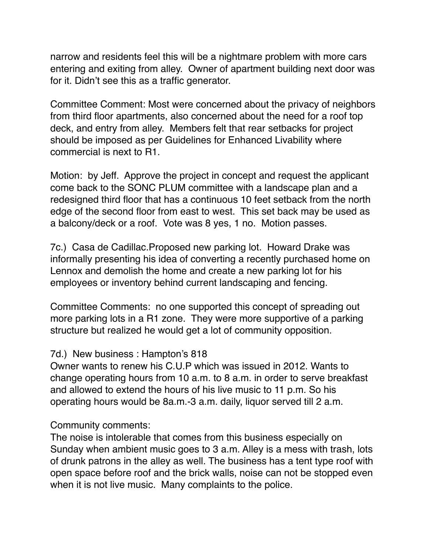narrow and residents feel this will be a nightmare problem with more cars entering and exiting from alley. Owner of apartment building next door was for it. Didn't see this as a traffic generator.

Committee Comment: Most were concerned about the privacy of neighbors from third floor apartments, also concerned about the need for a roof top deck, and entry from alley. Members felt that rear setbacks for project should be imposed as per Guidelines for Enhanced Livability where commercial is next to R1.

Motion: by Jeff. Approve the project in concept and request the applicant come back to the SONC PLUM committee with a landscape plan and a redesigned third floor that has a continuous 10 feet setback from the north edge of the second floor from east to west. This set back may be used as a balcony/deck or a roof. Vote was 8 yes, 1 no. Motion passes.

7c.) Casa de Cadillac.Proposed new parking lot. Howard Drake was informally presenting his idea of converting a recently purchased home on Lennox and demolish the home and create a new parking lot for his employees or inventory behind current landscaping and fencing.

Committee Comments: no one supported this concept of spreading out more parking lots in a R1 zone. They were more supportive of a parking structure but realized he would get a lot of community opposition.

## 7d.) New business : Hampton's 818

Owner wants to renew his C.U.P which was issued in 2012. Wants to change operating hours from 10 a.m. to 8 a.m. in order to serve breakfast and allowed to extend the hours of his live music to 11 p.m. So his operating hours would be 8a.m.-3 a.m. daily, liquor served till 2 a.m.

## Community comments:

The noise is intolerable that comes from this business especially on Sunday when ambient music goes to 3 a.m. Alley is a mess with trash, lots of drunk patrons in the alley as well. The business has a tent type roof with open space before roof and the brick walls, noise can not be stopped even when it is not live music. Many complaints to the police.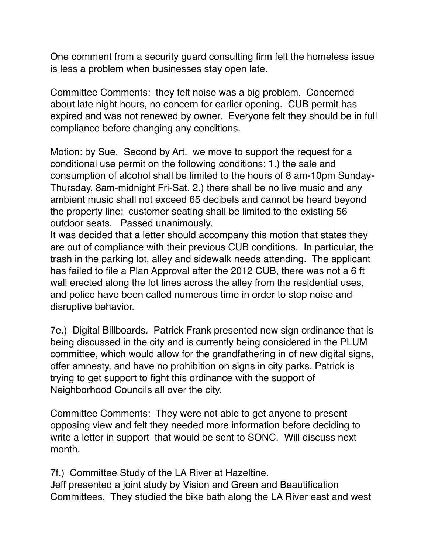One comment from a security guard consulting firm felt the homeless issue is less a problem when businesses stay open late.

Committee Comments: they felt noise was a big problem. Concerned about late night hours, no concern for earlier opening. CUB permit has expired and was not renewed by owner. Everyone felt they should be in full compliance before changing any conditions.

Motion: by Sue. Second by Art. we move to support the request for a conditional use permit on the following conditions: 1.) the sale and consumption of alcohol shall be limited to the hours of 8 am-10pm Sunday-Thursday, 8am-midnight Fri-Sat. 2.) there shall be no live music and any ambient music shall not exceed 65 decibels and cannot be heard beyond the property line; customer seating shall be limited to the existing 56 outdoor seats. Passed unanimously.

It was decided that a letter should accompany this motion that states they are out of compliance with their previous CUB conditions. In particular, the trash in the parking lot, alley and sidewalk needs attending. The applicant has failed to file a Plan Approval after the 2012 CUB, there was not a 6 ft wall erected along the lot lines across the alley from the residential uses, and police have been called numerous time in order to stop noise and disruptive behavior.

7e.) Digital Billboards. Patrick Frank presented new sign ordinance that is being discussed in the city and is currently being considered in the PLUM committee, which would allow for the grandfathering in of new digital signs, offer amnesty, and have no prohibition on signs in city parks. Patrick is trying to get support to fight this ordinance with the support of Neighborhood Councils all over the city.

Committee Comments: They were not able to get anyone to present opposing view and felt they needed more information before deciding to write a letter in support that would be sent to SONC. Will discuss next month.

7f.) Committee Study of the LA River at Hazeltine.

Jeff presented a joint study by Vision and Green and Beautification Committees. They studied the bike bath along the LA River east and west